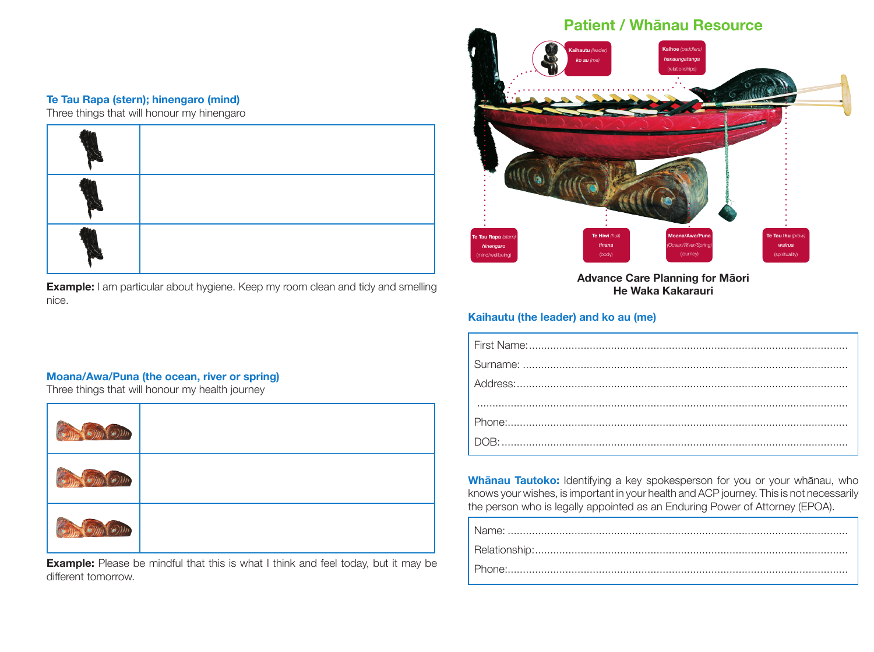## **Te Tau Rapa (stern); hinengaro (mind)**

Three things that will honour my hinengaro



**Example:** I am particular about hygiene. Keep my room clean and tidy and smelling nice.

# **Moana/Awa/Puna (the ocean, river or spring)**

Three things that will honour my health journey

| $\sum_{k=1}^{\infty}$<br><b>CANN</b> |  |
|--------------------------------------|--|
| $\sum_{i=1}^{n}$                     |  |
|                                      |  |

**Example:** Please be mindful that this is what I think and feel today, but it may be different tomorrow.

## **Patient / Whānau Resource Moana/Awa/Puna** *(Ocean/River/Spring)* (journey) **Te Tau Rapa** *(stern) hinengaro* (mind/wellbeing) **Te Hiwi** *(hull) tinana* (body) **Te Tau Ihu** *(prow) wairua* (spirituality) **Kaihoe** *(paddlers) hanaungatanga* (relationships) **Kaihautu** *(leader) ko au (me)*

**Advance Care Planning for Māori He Waka Kakarauri**

#### **Kaihautu (the leader) and ko au (me)**

**Whānau Tautoko:** Identifying a key spokesperson for you or your whānau, who knows your wishes, is important in your health and ACP journey. This is not necessarily the person who is legally appointed as an Enduring Power of Attorney (EPOA).